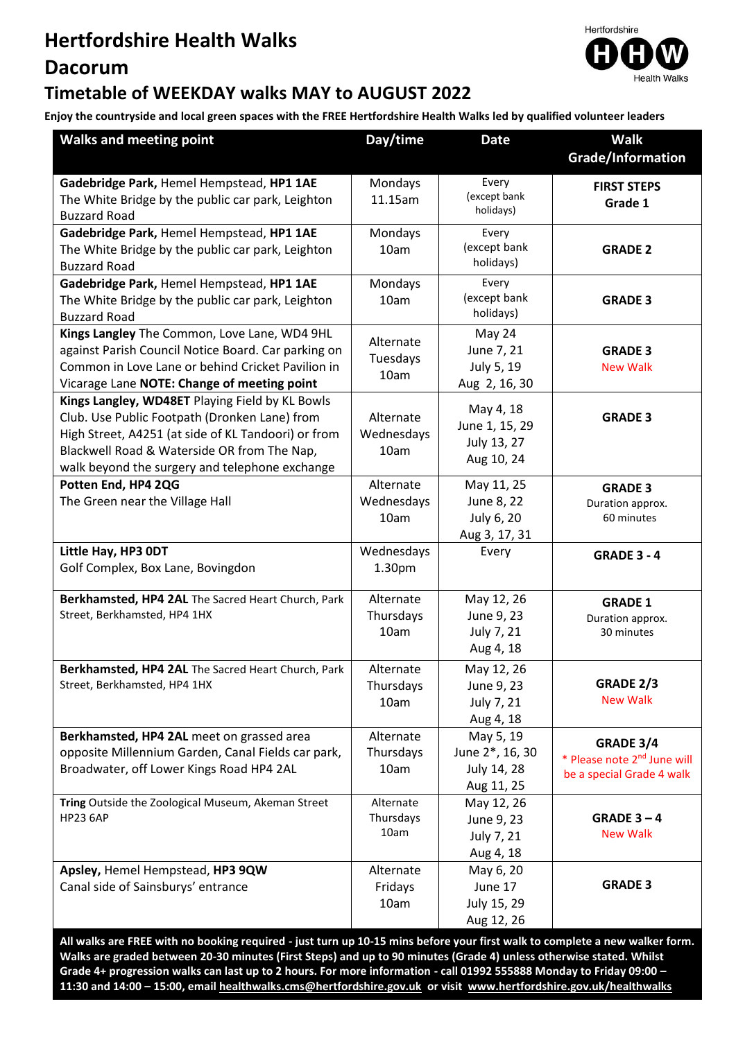## **Hertfordshire Health Walks**

# **Dacorum**



#### **Timetable of WEEKDAY walks MAY to AUGUST 2022**

**Enjoy the countryside and local green spaces with the FREE Hertfordshire Health Walks led by qualified volunteer leaders**

| <b>Walks and meeting point</b>                                           | Day/time                | <b>Date</b>                   | <b>Walk</b>                             |  |
|--------------------------------------------------------------------------|-------------------------|-------------------------------|-----------------------------------------|--|
|                                                                          |                         |                               | Grade/Information                       |  |
| Gadebridge Park, Hemel Hempstead, HP1 1AE                                | Mondays                 | Every                         | <b>FIRST STEPS</b>                      |  |
| The White Bridge by the public car park, Leighton                        | 11.15am                 | (except bank                  | Grade 1                                 |  |
| <b>Buzzard Road</b>                                                      |                         | holidays)                     |                                         |  |
| Gadebridge Park, Hemel Hempstead, HP1 1AE                                | Mondays                 | Every                         |                                         |  |
| The White Bridge by the public car park, Leighton                        | 10am                    | (except bank<br>holidays)     | <b>GRADE 2</b>                          |  |
| <b>Buzzard Road</b>                                                      |                         |                               |                                         |  |
| Gadebridge Park, Hemel Hempstead, HP1 1AE                                | Mondays                 | Every<br>(except bank         |                                         |  |
| The White Bridge by the public car park, Leighton<br><b>Buzzard Road</b> | 10am                    | holidays)                     | <b>GRADE 3</b>                          |  |
| Kings Langley The Common, Love Lane, WD4 9HL                             |                         | May 24                        |                                         |  |
| against Parish Council Notice Board. Car parking on                      | Alternate               | June 7, 21                    | <b>GRADE 3</b>                          |  |
| Common in Love Lane or behind Cricket Pavilion in                        | Tuesdays                | July 5, 19                    | <b>New Walk</b>                         |  |
| Vicarage Lane NOTE: Change of meeting point                              | 10am                    | Aug 2, 16, 30                 |                                         |  |
| Kings Langley, WD48ET Playing Field by KL Bowls                          |                         |                               |                                         |  |
| Club. Use Public Footpath (Dronken Lane) from                            | Alternate               | May 4, 18                     | <b>GRADE 3</b>                          |  |
| High Street, A4251 (at side of KL Tandoori) or from                      | Wednesdays              | June 1, 15, 29<br>July 13, 27 |                                         |  |
| Blackwell Road & Waterside OR from The Nap,                              | 10am                    | Aug 10, 24                    |                                         |  |
| walk beyond the surgery and telephone exchange                           |                         |                               |                                         |  |
| Potten End, HP4 2QG                                                      | Alternate               | May 11, 25                    | <b>GRADE 3</b>                          |  |
| The Green near the Village Hall                                          | Wednesdays              | June 8, 22                    | Duration approx.                        |  |
|                                                                          | 10am                    | July 6, 20                    | 60 minutes                              |  |
|                                                                          |                         | Aug 3, 17, 31                 |                                         |  |
| Little Hay, HP3 ODT                                                      | Wednesdays              | Every                         | <b>GRADE 3 - 4</b>                      |  |
| Golf Complex, Box Lane, Bovingdon                                        | 1.30pm                  |                               |                                         |  |
| Berkhamsted, HP4 2AL The Sacred Heart Church, Park                       | Alternate               | May 12, 26                    | <b>GRADE 1</b>                          |  |
| Street, Berkhamsted, HP4 1HX                                             | Thursdays<br>June 9, 23 |                               | Duration approx.                        |  |
|                                                                          | 10am                    | July 7, 21                    | 30 minutes                              |  |
|                                                                          |                         | Aug 4, 18                     |                                         |  |
| Berkhamsted, HP4 2AL The Sacred Heart Church, Park                       | Alternate               | May 12, 26                    |                                         |  |
| Street, Berkhamsted, HP4 1HX                                             | Thursdays               | June 9, 23                    | GRADE 2/3                               |  |
|                                                                          | 10am                    | July 7, 21                    | <b>New Walk</b>                         |  |
|                                                                          |                         | Aug 4, 18                     |                                         |  |
| Berkhamsted, HP4 2AL meet on grassed area                                | Alternate               | May 5, 19                     | <b>GRADE 3/4</b>                        |  |
| opposite Millennium Garden, Canal Fields car park,                       | Thursdays               | June 2*, 16, 30               | * Please note 2 <sup>nd</sup> June will |  |
| Broadwater, off Lower Kings Road HP4 2AL                                 | 10am                    | July 14, 28                   | be a special Grade 4 walk               |  |
| Tring Outside the Zoological Museum, Akeman Street                       | Alternate               | Aug 11, 25<br>May 12, 26      |                                         |  |
| <b>HP23 6AP</b>                                                          | Thursdays               | June 9, 23                    | GRADE $3 - 4$                           |  |
|                                                                          | 10am                    | July 7, 21                    | <b>New Walk</b>                         |  |
|                                                                          |                         | Aug 4, 18                     |                                         |  |
| Apsley, Hemel Hempstead, HP3 9QW                                         | Alternate               | May 6, 20                     |                                         |  |
| Canal side of Sainsburys' entrance                                       | Fridays                 | June 17                       | <b>GRADE 3</b>                          |  |
|                                                                          | 10am                    | July 15, 29                   |                                         |  |
|                                                                          |                         | Aug 12, 26                    |                                         |  |

**All walks are FREE with no booking required - just turn up 10-15 mins before your first walk to complete a new walker form. Walks are graded between 20-30 minutes (First Steps) and up to 90 minutes (Grade 4) unless otherwise stated. Whilst Grade 4+ progression walks can last up to 2 hours. For more information - call 01992 555888 Monday to Friday 09:00 – 11:30 and 14:00 – 15:00, emai[l healthwalks.cms@hertfordshire.gov.uk](mailto:healthwalks.cms@hertfordshire.gov.uk) or visit [www.hertfordshire.gov.uk/healthwalks](http://www.hertfordshire.gov.uk/healthwalks)**